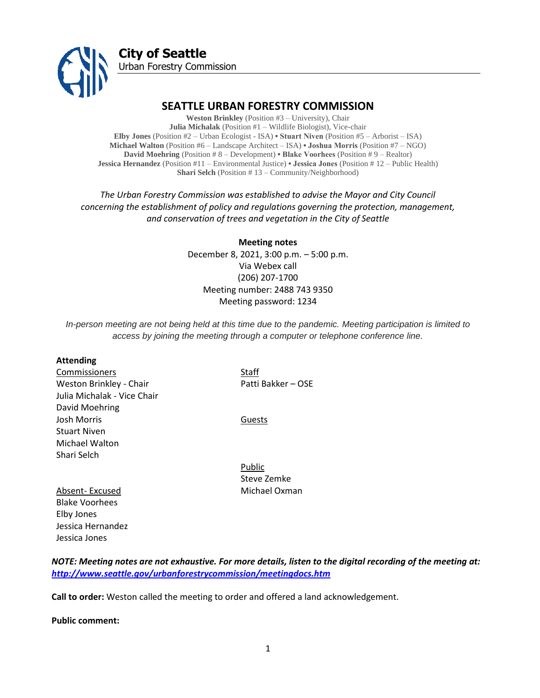

# **SEATTLE URBAN FORESTRY COMMISSION**

**Weston Brinkley** (Position #3 – University), Chair **Julia Michalak** (Position #1 – Wildlife Biologist), Vice-chair **Elby Jones** (Position #2 – Urban Ecologist - ISA) **• Stuart Niven** (Position #5 – Arborist – ISA) **Michael Walton** (Position #6 – Landscape Architect – ISA) **• Joshua Morris** (Position #7 – NGO) **David Moehring** (Position # 8 – Development) **• Blake Voorhees** (Position # 9 – Realtor) **Jessica Hernandez** (Position #11 – Environmental Justice) **• Jessica Jones** (Position # 12 – Public Health) **Shari Selch** (Position # 13 – Community/Neighborhood)

*The Urban Forestry Commission was established to advise the Mayor and City Council concerning the establishment of policy and regulations governing the protection, management, and conservation of trees and vegetation in the City of Seattle*

> **Meeting notes** December 8, 2021, 3:00 p.m. – 5:00 p.m. Via Webex call (206) 207-1700 Meeting number: 2488 743 9350 Meeting password: 1234

*In-person meeting are not being held at this time due to the pandemic. Meeting participation is limited to access by joining the meeting through a computer or telephone conference line.*

#### **Attending**

**Commissioners** Staff Weston Brinkley - Chair Patti Bakker – OSE Julia Michalak - Vice Chair David Moehring Josh Morris **Guests** Stuart Niven Michael Walton Shari Selch

Public Steve Zemke Absent- Excused Michael Oxman

Blake Voorhees Elby Jones Jessica Hernandez Jessica Jones

*NOTE: Meeting notes are not exhaustive. For more details, listen to the digital recording of the meeting at: <http://www.seattle.gov/urbanforestrycommission/meetingdocs.htm>*

**Call to order:** Weston called the meeting to order and offered a land acknowledgement.

**Public comment:**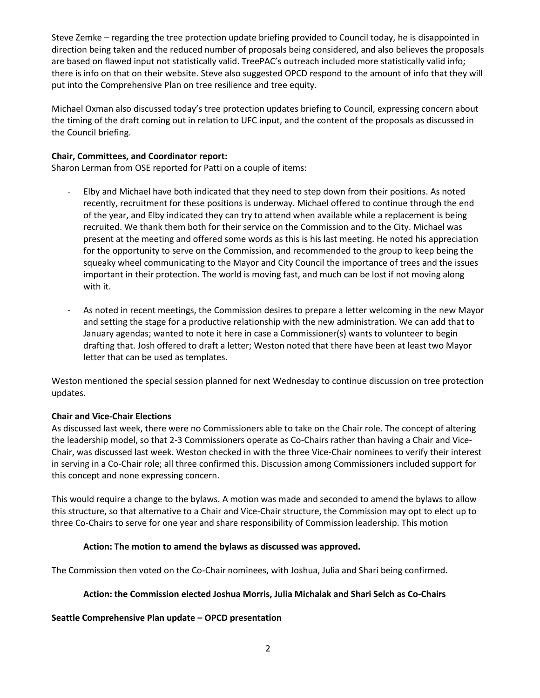Steve Zemke – regarding the tree protection update briefing provided to Council today, he is disappointed in direction being taken and the reduced number of proposals being considered, and also believes the proposals are based on flawed input not statistically valid. TreePAC's outreach included more statistically valid info; there is info on that on their website. Steve also suggested OPCD respond to the amount of info that they will put into the Comprehensive Plan on tree resilience and tree equity.

Michael Oxman also discussed today's tree protection updates briefing to Council, expressing concern about the timing of the draft coming out in relation to UFC input, and the content of the proposals as discussed in the Council briefing.

### **Chair, Committees, and Coordinator report:**

Sharon Lerman from OSE reported for Patti on a couple of items:

- Elby and Michael have both indicated that they need to step down from their positions. As noted recently, recruitment for these positions is underway. Michael offered to continue through the end of the year, and Elby indicated they can try to attend when available while a replacement is being recruited. We thank them both for their service on the Commission and to the City. Michael was present at the meeting and offered some words as this is his last meeting. He noted his appreciation for the opportunity to serve on the Commission, and recommended to the group to keep being the squeaky wheel communicating to the Mayor and City Council the importance of trees and the issues important in their protection. The world is moving fast, and much can be lost if not moving along with it.
- As noted in recent meetings, the Commission desires to prepare a letter welcoming in the new Mayor and setting the stage for a productive relationship with the new administration. We can add that to January agendas; wanted to note it here in case a Commissioner(s) wants to volunteer to begin drafting that. Josh offered to draft a letter; Weston noted that there have been at least two Mayor letter that can be used as templates.

Weston mentioned the special session planned for next Wednesday to continue discussion on tree protection updates.

# **Chair and Vice-Chair Elections**

As discussed last week, there were no Commissioners able to take on the Chair role. The concept of altering the leadership model, so that 2-3 Commissioners operate as Co-Chairs rather than having a Chair and Vice-Chair, was discussed last week. Weston checked in with the three Vice-Chair nominees to verify their interest in serving in a Co-Chair role; all three confirmed this. Discussion among Commissioners included support for this concept and none expressing concern.

This would require a change to the bylaws. A motion was made and seconded to amend the bylaws to allow this structure, so that alternative to a Chair and Vice-Chair structure, the Commission may opt to elect up to three Co-Chairs to serve for one year and share responsibility of Commission leadership. This motion

### **Action: The motion to amend the bylaws as discussed was approved.**

The Commission then voted on the Co-Chair nominees, with Joshua, Julia and Shari being confirmed.

### **Action: the Commission elected Joshua Morris, Julia Michalak and Shari Selch as Co-Chairs**

**Seattle Comprehensive Plan update – OPCD presentation**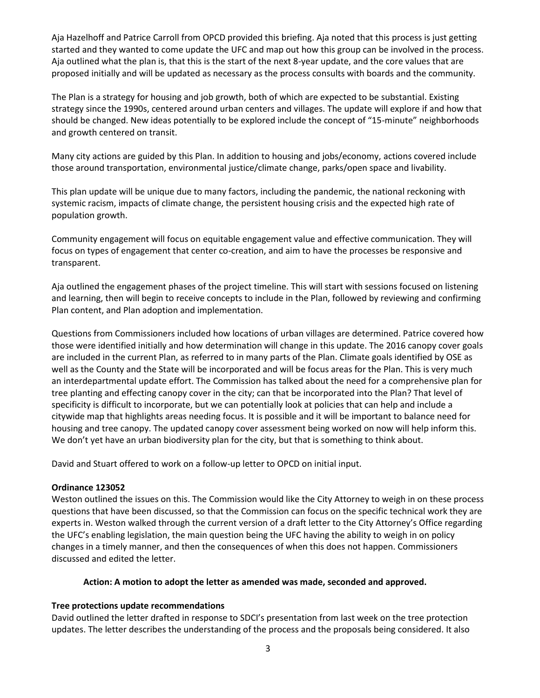Aja Hazelhoff and Patrice Carroll from OPCD provided this briefing. Aja noted that this process is just getting started and they wanted to come update the UFC and map out how this group can be involved in the process. Aja outlined what the plan is, that this is the start of the next 8-year update, and the core values that are proposed initially and will be updated as necessary as the process consults with boards and the community.

The Plan is a strategy for housing and job growth, both of which are expected to be substantial. Existing strategy since the 1990s, centered around urban centers and villages. The update will explore if and how that should be changed. New ideas potentially to be explored include the concept of "15-minute" neighborhoods and growth centered on transit.

Many city actions are guided by this Plan. In addition to housing and jobs/economy, actions covered include those around transportation, environmental justice/climate change, parks/open space and livability.

This plan update will be unique due to many factors, including the pandemic, the national reckoning with systemic racism, impacts of climate change, the persistent housing crisis and the expected high rate of population growth.

Community engagement will focus on equitable engagement value and effective communication. They will focus on types of engagement that center co-creation, and aim to have the processes be responsive and transparent.

Aja outlined the engagement phases of the project timeline. This will start with sessions focused on listening and learning, then will begin to receive concepts to include in the Plan, followed by reviewing and confirming Plan content, and Plan adoption and implementation.

Questions from Commissioners included how locations of urban villages are determined. Patrice covered how those were identified initially and how determination will change in this update. The 2016 canopy cover goals are included in the current Plan, as referred to in many parts of the Plan. Climate goals identified by OSE as well as the County and the State will be incorporated and will be focus areas for the Plan. This is very much an interdepartmental update effort. The Commission has talked about the need for a comprehensive plan for tree planting and effecting canopy cover in the city; can that be incorporated into the Plan? That level of specificity is difficult to incorporate, but we can potentially look at policies that can help and include a citywide map that highlights areas needing focus. It is possible and it will be important to balance need for housing and tree canopy. The updated canopy cover assessment being worked on now will help inform this. We don't yet have an urban biodiversity plan for the city, but that is something to think about.

David and Stuart offered to work on a follow-up letter to OPCD on initial input.

### **Ordinance 123052**

Weston outlined the issues on this. The Commission would like the City Attorney to weigh in on these process questions that have been discussed, so that the Commission can focus on the specific technical work they are experts in. Weston walked through the current version of a draft letter to the City Attorney's Office regarding the UFC's enabling legislation, the main question being the UFC having the ability to weigh in on policy changes in a timely manner, and then the consequences of when this does not happen. Commissioners discussed and edited the letter.

### **Action: A motion to adopt the letter as amended was made, seconded and approved.**

# **Tree protections update recommendations**

David outlined the letter drafted in response to SDCI's presentation from last week on the tree protection updates. The letter describes the understanding of the process and the proposals being considered. It also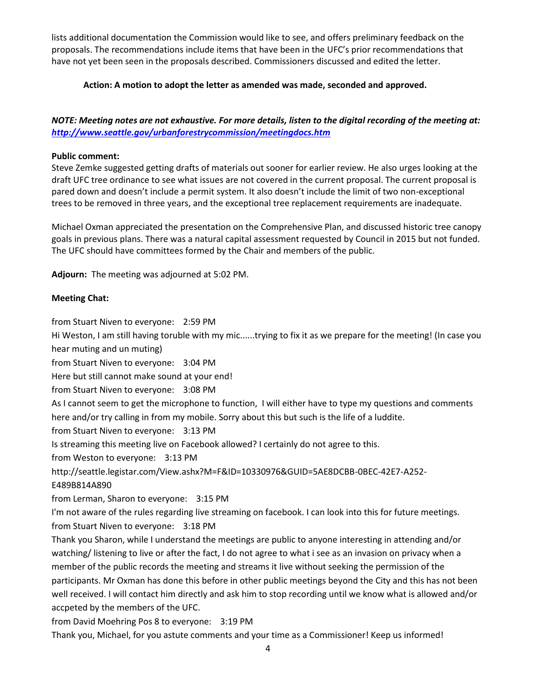lists additional documentation the Commission would like to see, and offers preliminary feedback on the proposals. The recommendations include items that have been in the UFC's prior recommendations that have not yet been seen in the proposals described. Commissioners discussed and edited the letter.

### **Action: A motion to adopt the letter as amended was made, seconded and approved.**

# *NOTE: Meeting notes are not exhaustive. For more details, listen to the digital recording of the meeting at: <http://www.seattle.gov/urbanforestrycommission/meetingdocs.htm>*

#### **Public comment:**

Steve Zemke suggested getting drafts of materials out sooner for earlier review. He also urges looking at the draft UFC tree ordinance to see what issues are not covered in the current proposal. The current proposal is pared down and doesn't include a permit system. It also doesn't include the limit of two non-exceptional trees to be removed in three years, and the exceptional tree replacement requirements are inadequate.

Michael Oxman appreciated the presentation on the Comprehensive Plan, and discussed historic tree canopy goals in previous plans. There was a natural capital assessment requested by Council in 2015 but not funded. The UFC should have committees formed by the Chair and members of the public.

**Adjourn:** The meeting was adjourned at 5:02 PM.

### **Meeting Chat:**

from Stuart Niven to everyone: 2:59 PM

Hi Weston, I am still having toruble with my mic......trying to fix it as we prepare for the meeting! (In case you hear muting and un muting)

from Stuart Niven to everyone: 3:04 PM

Here but still cannot make sound at your end!

from Stuart Niven to everyone: 3:08 PM

As I cannot seem to get the microphone to function, I will either have to type my questions and comments here and/or try calling in from my mobile. Sorry about this but such is the life of a luddite.

from Stuart Niven to everyone: 3:13 PM

Is streaming this meeting live on Facebook allowed? I certainly do not agree to this.

from Weston to everyone: 3:13 PM

```
http://seattle.legistar.com/View.ashx?M=F&ID=10330976&GUID=5AE8DCBB-0BEC-42E7-A252-
```
E489B814A890

from Lerman, Sharon to everyone: 3:15 PM

I'm not aware of the rules regarding live streaming on facebook. I can look into this for future meetings. from Stuart Niven to everyone: 3:18 PM

Thank you Sharon, while I understand the meetings are public to anyone interesting in attending and/or watching/ listening to live or after the fact, I do not agree to what i see as an invasion on privacy when a member of the public records the meeting and streams it live without seeking the permission of the participants. Mr Oxman has done this before in other public meetings beyond the City and this has not been well received. I will contact him directly and ask him to stop recording until we know what is allowed and/or accpeted by the members of the UFC.

from David Moehring Pos 8 to everyone: 3:19 PM

Thank you, Michael, for you astute comments and your time as a Commissioner! Keep us informed!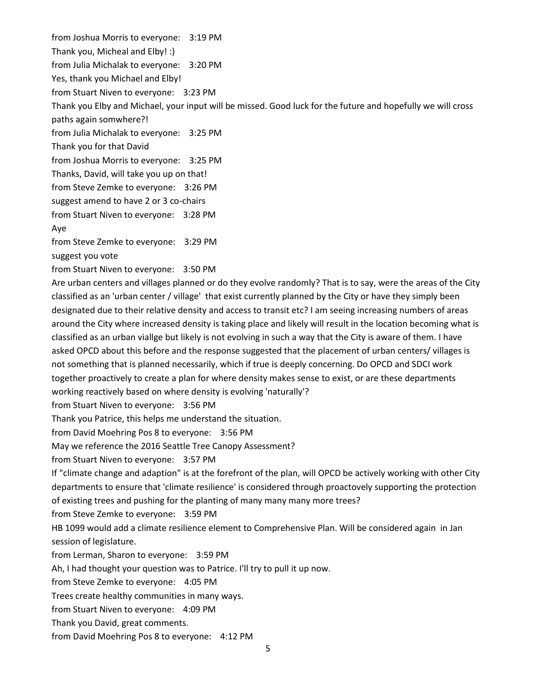from Joshua Morris to everyone: 3:19 PM

Thank you, Micheal and Elby! :)

from Julia Michalak to everyone: 3:20 PM

Yes, thank you Michael and Elby!

from Stuart Niven to everyone: 3:23 PM

Thank you Elby and Michael, your input will be missed. Good luck for the future and hopefully we will cross paths again somwhere?!

from Julia Michalak to everyone: 3:25 PM

Thank you for that David

from Joshua Morris to everyone: 3:25 PM

Thanks, David, will take you up on that!

from Steve Zemke to everyone: 3:26 PM

suggest amend to have 2 or 3 co-chairs

from Stuart Niven to everyone: 3:28 PM

Aye

from Steve Zemke to everyone: 3:29 PM

suggest you vote

from Stuart Niven to everyone: 3:50 PM

Are urban centers and villages planned or do they evolve randomly? That is to say, were the areas of the City classified as an 'urban center / village' that exist currently planned by the City or have they simply been designated due to their relative density and access to transit etc? I am seeing increasing numbers of areas around the City where increased density is taking place and likely will result in the location becoming what is classified as an urban viallge but likely is not evolving in such a way that the City is aware of them. I have asked OPCD about this before and the response suggested that the placement of urban centers/ villages is not something that is planned necessarily, which if true is deeply concerning. Do OPCD and SDCI work together proactively to create a plan for where density makes sense to exist, or are these departments working reactively based on where density is evolving 'naturally'?

from Stuart Niven to everyone: 3:56 PM

Thank you Patrice, this helps me understand the situation.

from David Moehring Pos 8 to everyone: 3:56 PM

May we reference the 2016 Seattle Tree Canopy Assessment?

from Stuart Niven to everyone: 3:57 PM

If "climate change and adaption" is at the forefront of the plan, will OPCD be actively working with other City departments to ensure that 'climate resilience' is considered through proactovely supporting the protection of existing trees and pushing for the planting of many many many more trees?

from Steve Zemke to everyone: 3:59 PM

HB 1099 would add a climate resilience element to Comprehensive Plan. Will be considered again in Jan session of legislature.

from Lerman, Sharon to everyone: 3:59 PM

Ah, I had thought your question was to Patrice. I'll try to pull it up now.

from Steve Zemke to everyone: 4:05 PM

Trees create healthy communities in many ways.

from Stuart Niven to everyone: 4:09 PM

Thank you David, great comments.

from David Moehring Pos 8 to everyone: 4:12 PM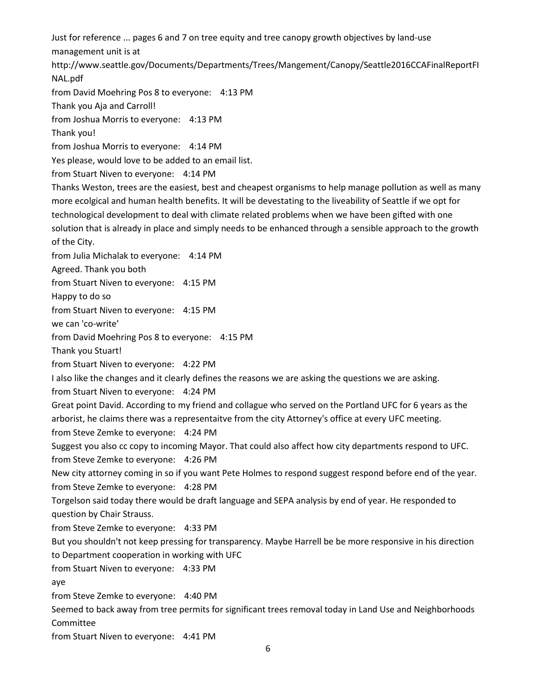Just for reference ... pages 6 and 7 on tree equity and tree canopy growth objectives by land-use management unit is at http://www.seattle.gov/Documents/Departments/Trees/Mangement/Canopy/Seattle2016CCAFinalReportFI NAL.pdf from David Moehring Pos 8 to everyone: 4:13 PM Thank you Aja and Carroll! from Joshua Morris to everyone: 4:13 PM Thank you! from Joshua Morris to everyone: 4:14 PM Yes please, would love to be added to an email list. from Stuart Niven to everyone: 4:14 PM Thanks Weston, trees are the easiest, best and cheapest organisms to help manage pollution as well as many more ecolgical and human health benefits. It will be devestating to the liveability of Seattle if we opt for technological development to deal with climate related problems when we have been gifted with one solution that is already in place and simply needs to be enhanced through a sensible approach to the growth of the City. from Julia Michalak to everyone: 4:14 PM Agreed. Thank you both from Stuart Niven to everyone: 4:15 PM Happy to do so from Stuart Niven to everyone: 4:15 PM we can 'co-write' from David Moehring Pos 8 to everyone: 4:15 PM Thank you Stuart! from Stuart Niven to everyone: 4:22 PM I also like the changes and it clearly defines the reasons we are asking the questions we are asking. from Stuart Niven to everyone: 4:24 PM Great point David. According to my friend and collague who served on the Portland UFC for 6 years as the arborist, he claims there was a representaitve from the city Attorney's office at every UFC meeting. from Steve Zemke to everyone: 4:24 PM Suggest you also cc copy to incoming Mayor. That could also affect how city departments respond to UFC. from Steve Zemke to everyone: 4:26 PM New city attorney coming in so if you want Pete Holmes to respond suggest respond before end of the year. from Steve Zemke to everyone: 4:28 PM Torgelson said today there would be draft language and SEPA analysis by end of year. He responded to question by Chair Strauss. from Steve Zemke to everyone: 4:33 PM But you shouldn't not keep pressing for transparency. Maybe Harrell be be more responsive in his direction to Department cooperation in working with UFC from Stuart Niven to everyone: 4:33 PM aye from Steve Zemke to everyone: 4:40 PM Seemed to back away from tree permits for significant trees removal today in Land Use and Neighborhoods Committee from Stuart Niven to everyone: 4:41 PM

6